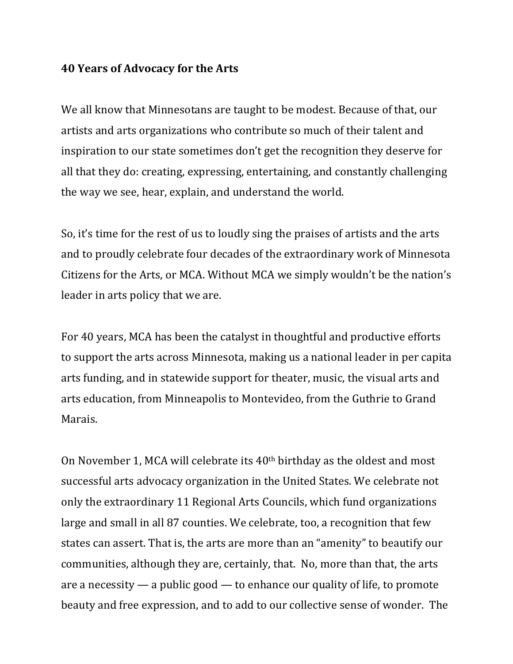## **40 Years of Advocacy for the Arts**

We all know that Minnesotans are taught to be modest. Because of that, our artists and arts organizations who contribute so much of their talent and inspiration to our state sometimes don't get the recognition they deserve for all that they do: creating, expressing, entertaining, and constantly challenging the way we see, hear, explain, and understand the world.

So, it's time for the rest of us to loudly sing the praises of artists and the arts and to proudly celebrate four decades of the extraordinary work of Minnesota Citizens for the Arts, or MCA. Without MCA we simply wouldn't be the nation's leader in arts policy that we are.

For 40 years, MCA has been the catalyst in thoughtful and productive efforts to support the arts across Minnesota, making us a national leader in per capita arts funding, and in statewide support for theater, music, the visual arts and arts education, from Minneapolis to Montevideo, from the Guthrie to Grand Marais.

On November 1, MCA will celebrate its  $40<sup>th</sup>$  birthday as the oldest and most successful arts advocacy organization in the United States. We celebrate not only the extraordinary 11 Regional Arts Councils, which fund organizations large and small in all 87 counties. We celebrate, too, a recognition that few states can assert. That is, the arts are more than an "amenity" to beautify our communities, although they are, certainly, that. No, more than that, the arts are a necessity  $-$  a public good  $-$  to enhance our quality of life, to promote beauty and free expression, and to add to our collective sense of wonder. The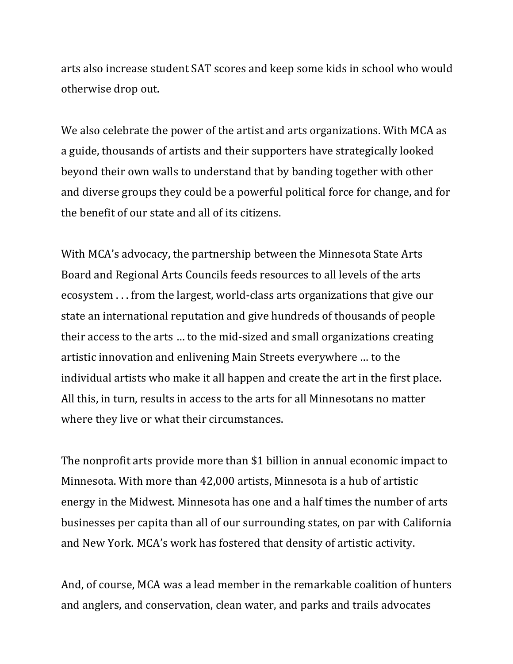arts also increase student SAT scores and keep some kids in school who would otherwise drop out.

We also celebrate the power of the artist and arts organizations. With MCA as a guide, thousands of artists and their supporters have strategically looked beyond their own walls to understand that by banding together with other and diverse groups they could be a powerful political force for change, and for the benefit of our state and all of its citizens.

With MCA's advocacy, the partnership between the Minnesota State Arts Board and Regional Arts Councils feeds resources to all levels of the arts ecosystem . . . from the largest, world-class arts organizations that give our state an international reputation and give hundreds of thousands of people their access to the arts ... to the mid-sized and small organizations creating artistic innovation and enlivening Main Streets everywhere ... to the individual artists who make it all happen and create the art in the first place. All this, in turn, results in access to the arts for all Minnesotans no matter where they live or what their circumstances.

The nonprofit arts provide more than \$1 billion in annual economic impact to Minnesota. With more than 42,000 artists, Minnesota is a hub of artistic energy in the Midwest. Minnesota has one and a half times the number of arts businesses per capita than all of our surrounding states, on par with California and New York. MCA's work has fostered that density of artistic activity.

And, of course, MCA was a lead member in the remarkable coalition of hunters and anglers, and conservation, clean water, and parks and trails advocates